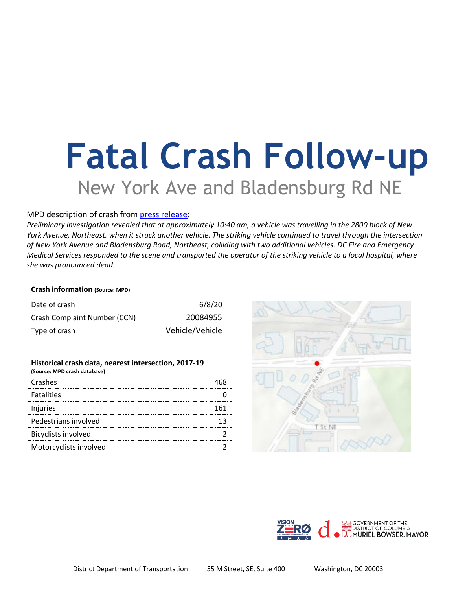# **Fatal Crash Follow-up** New York Ave and Bladensburg Rd NE

## MPD description of crash from [press release:](https://mpdc.dc.gov/release/traffic-fatality-intersection-new-york-avenue-and-bladensburg-road-northeast)

*Preliminary investigation revealed that at approximately 10:40 am, a vehicle was travelling in the 2800 block of New York Avenue, Northeast, when it struck another vehicle. The striking vehicle continued to travel through the intersection of New York Avenue and Bladensburg Road, Northeast, colliding with two additional vehicles. DC Fire and Emergency Medical Services responded to the scene and transported the operator of the striking vehicle to a local hospital, where she was pronounced dead.*

### **Crash information (Source: MPD)**

| Date of crash                | 6/8/20          |
|------------------------------|-----------------|
| Crash Complaint Number (CCN) | 20084955        |
| Type of crash                | Vehicle/Vehicle |

#### **Historical crash data, nearest intersection, 2017-19 (Source: MPD crash database)**

| (JUUILE. IVIPU LIASII UALANASE) |     |
|---------------------------------|-----|
| Crashes                         |     |
| <b>Fatalities</b>               |     |
| Injuries                        | 161 |
| Pedestrians involved            |     |
| <b>Bicyclists involved</b>      |     |
| Motorcyclists involved          |     |
|                                 |     |